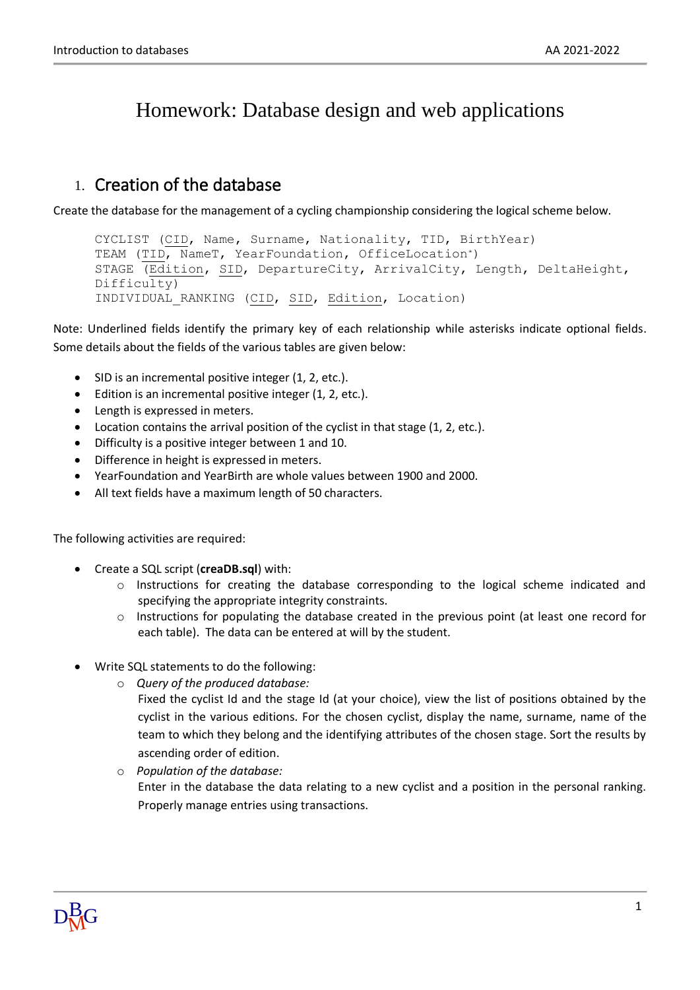# Homework: Database design and web applications

### 1. Creation of the database

Create the database for the management of a cycling championship considering the logical scheme below.

```
CYCLIST (CID, Name, Surname, Nationality, TID, BirthYear)
TEAM (TID, NameT, YearFoundation, OfficeLocation*)
STAGE (Edition, SID, DepartureCity, ArrivalCity, Length, DeltaHeight,
Difficulty)
INDIVIDUAL_RANKING (CID, SID, Edition, Location)
```
Note: Underlined fields identify the primary key of each relationship while asterisks indicate optional fields. Some details about the fields of the various tables are given below:

- SID is an incremental positive integer (1, 2, etc.).
- Edition is an incremental positive integer (1, 2, etc.).
- Length is expressed in meters.
- Location contains the arrival position of the cyclist in that stage (1, 2, etc.).
- Difficulty is a positive integer between 1 and 10.
- Difference in height is expressed in meters.
- YearFoundation and YearBirth are whole values between 1900 and 2000.
- All text fields have a maximum length of 50 characters.

The following activities are required:

- Create a SQL script (**creaDB.sql**) with:
	- o Instructions for creating the database corresponding to the logical scheme indicated and specifying the appropriate integrity constraints.
	- $\circ$  Instructions for populating the database created in the previous point (at least one record for each table). The data can be entered at will by the student.
- Write SQL statements to do the following:
	- o *Query of the produced database:*
		- Fixed the cyclist Id and the stage Id (at your choice), view the list of positions obtained by the cyclist in the various editions. For the chosen cyclist, display the name, surname, name of the team to which they belong and the identifying attributes of the chosen stage. Sort the results by ascending order of edition.
	- o *Population of the database:* Enter in the database the data relating to a new cyclist and a position in the personal ranking. Properly manage entries using transactions.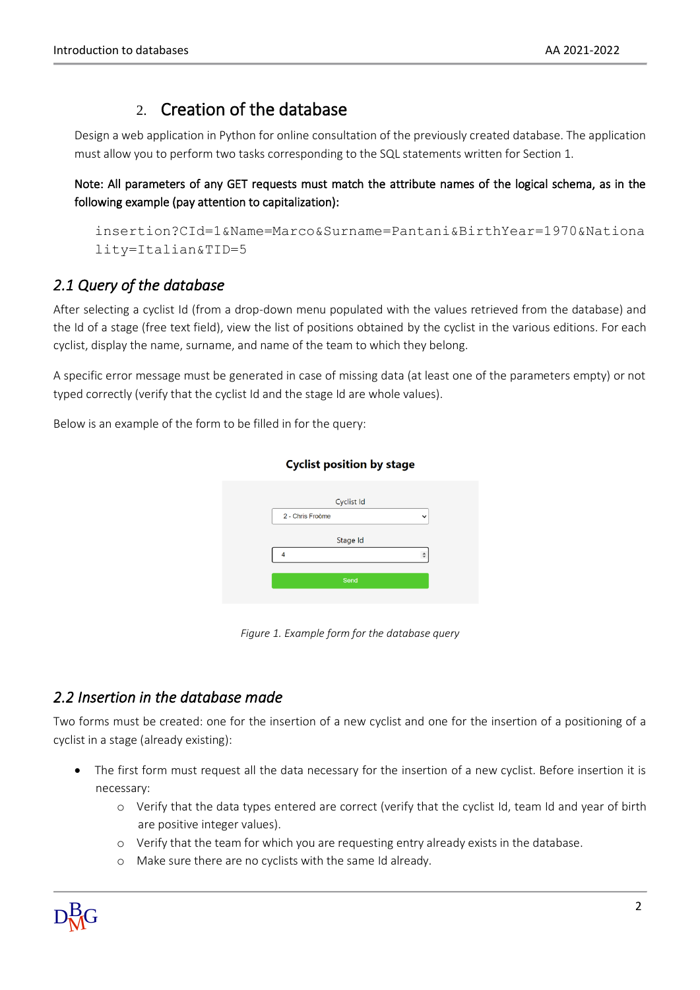## 2. Creation of the database

Design a web application in Python for online consultation of the previously created database. The application must allow you to perform two tasks corresponding to the SQL statements written for Section 1.

Note: All parameters of any GET requests must match the attribute names of the logical schema, as in the following example (pay attention to capitalization):

```
insertion?CId=1&Name=Marco&Surname=Pantani&BirthYear=1970&Nationa
lity=Italian&TID=5
```
#### *2.1 Query of the database*

After selecting a cyclist Id (from a drop-down menu populated with the values retrieved from the database) and the Id of a stage (free text field), view the list of positions obtained by the cyclist in the various editions. For each cyclist, display the name, surname, and name of the team to which they belong.

A specific error message must be generated in case of missing data (at least one of the parameters empty) or not typed correctly (verify that the cyclist Id and the stage Id are whole values).

Below is an example of the form to be filled in for the query:

|                  | Cyclist Id |             |
|------------------|------------|-------------|
| 2 - Chris Froòme |            | $\check{ }$ |
|                  | Stage Id   |             |
|                  |            |             |
|                  | Send       |             |
|                  |            |             |

**Cyclist position by stage** 

*Figure 1. Example form for the database query*

#### *2.2 Insertion in the database made*

Two forms must be created: one for the insertion of a new cyclist and one for the insertion of a positioning of a cyclist in a stage (already existing):

- The first form must request all the data necessary for the insertion of a new cyclist. Before insertion it is necessary:
	- o Verify that the data types entered are correct (verify that the cyclist Id, team Id and year of birth are positive integer values).
	- o Verify that the team for which you are requesting entry already exists in the database.
	- o Make sure there are no cyclists with the same Id already.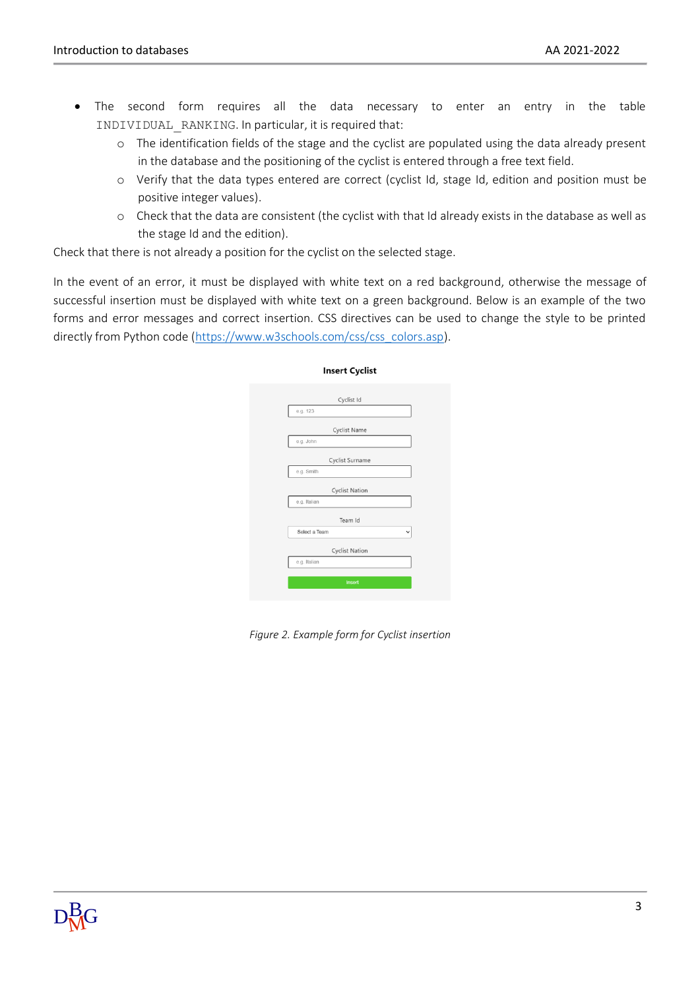- The second form requires all the data necessary to enter an entry in the table INDIVIDUAL\_RANKING. In particular, it is required that:
	- o The identification fields of the stage and the cyclist are populated using the data already present in the database and the positioning of the cyclist is entered through a free text field.
	- o Verify that the data types entered are correct (cyclist Id, stage Id, edition and position must be positive integer values).
	- o Check that the data are consistent (the cyclist with that Id already exists in the database as well as the stage Id and the edition).

Check that there is not already a position for the cyclist on the selected stage.

In the event of an error, it must be displayed with white text on a red background, otherwise the message of successful insertion must be displayed with white text on a green background. Below is an example of the two forms and error messages and correct insertion. CSS directives can be used to change the style to be printed directly from Python code [\(https://www.w3schools.com/css/css\\_colors.asp\)](https://www.w3schools.com/css/css_colors.asp).

| <b>Insert Cyclist</b> |  |  |  |  |
|-----------------------|--|--|--|--|
| Cyclist Id            |  |  |  |  |
| e.g. 123              |  |  |  |  |
| Cyclist Name          |  |  |  |  |
| e.g. John             |  |  |  |  |
| Cyclist Surname       |  |  |  |  |
| e.g. Smith            |  |  |  |  |
| <b>Cyclist Nation</b> |  |  |  |  |
| e.g. Italian          |  |  |  |  |
| Team Id               |  |  |  |  |
| Select a Team<br>v    |  |  |  |  |
| Cyclist Nation        |  |  |  |  |
| e.g. Italian          |  |  |  |  |
| Insert                |  |  |  |  |
|                       |  |  |  |  |

*Figure 2. Example form for Cyclist insertion*